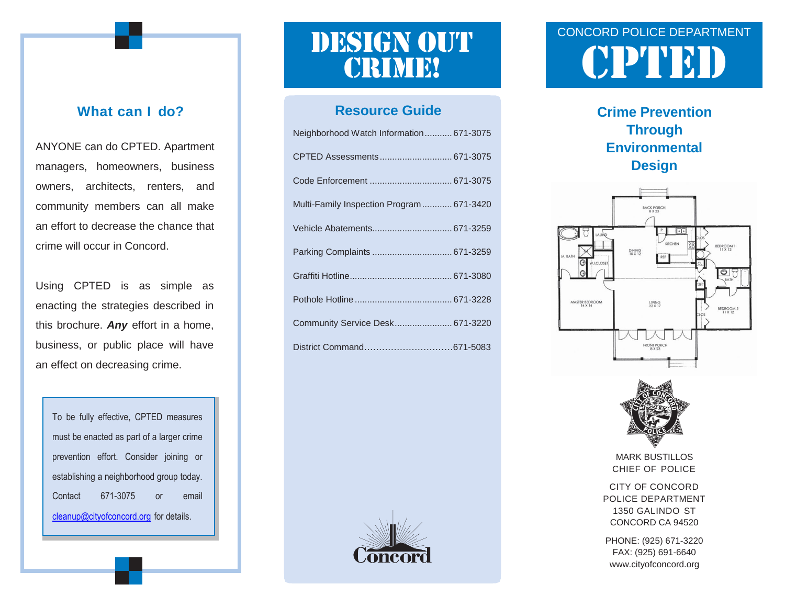#### **What can I do?**

ANYONE can do CPTED. Apartment managers, homeowners, business owners, architects, renters, and community members can all make an effort to decrease the chance that crime will occur in Concord.

Using CPTED is as simple as enacting the strategies described in this brochure. *Any* effort in a home, business, or public place will have an effect on decreasing crime.

To be fully effective, CPTED measures must be enacted as part of a larger crime prevention effort. Consider joining or establishing a neighborhood group today. Contact 671-3075 or [email](mailto:email%20cleanup@cityofconcord.org)  [cleanup@cityofconcord.org](mailto:email%20cleanup@cityofconcord.org) for details.

# **CRIME!**

#### **Resource Guide**

| Neighborhood Watch Information 671-3075  |
|------------------------------------------|
|                                          |
|                                          |
| Multi-Family Inspection Program 671-3420 |
|                                          |
|                                          |
|                                          |
|                                          |
| Community Service Desk 671-3220          |
|                                          |



### CONCORD POLICE DEPARTMENT DESIGN OUT CONCORD POLICE DEPARTMENT

**Crime Prevention Through Environmental Design**





MARK BUSTILLOS CHIEF OF POLICE

CITY OF CONCORD POLICE DEPARTMENT 1350 GALINDO ST CONCORD CA 94520

PHONE: (925) 671-3220 FAX: (925) 691-6640 [www.cityofconcord.org](http://www.cityofconcord.org/)